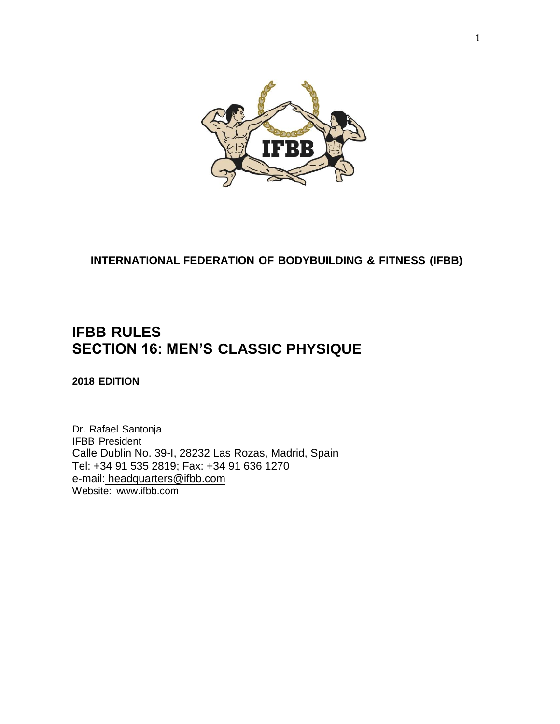

**INTERNATIONAL FEDERATION OF BODYBUILDING & FITNESS (IFBB)**

## **IFBB RULES SECTION 16: MEN'S CLASSIC PHYSIQUE**

**2018 EDITION**

Dr. Rafael Santonja IFBB President Calle Dublin No. 39-I, 28232 Las Rozas, Madrid, Spain Tel: +34 91 535 2819; Fax: +34 91 636 1270 e-mail: [headquarters@ifbb.com](mailto:%20headquarters@ifbb.com) Website: [www.ifbb.com](http://www.ifbb.com/)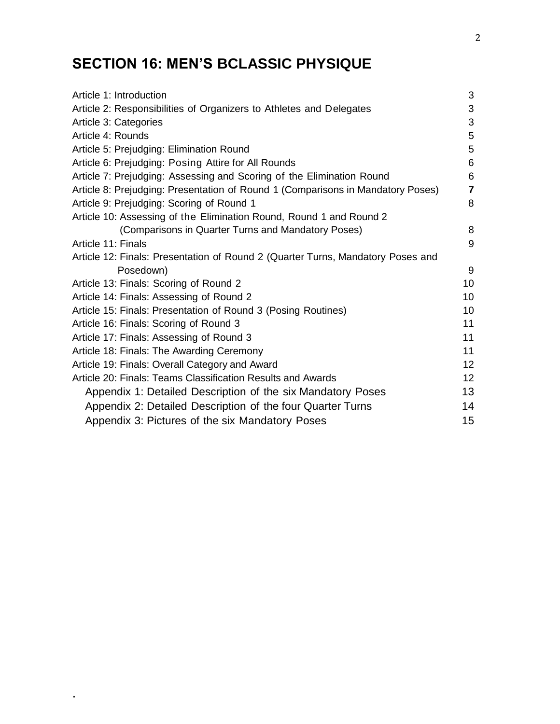# **SECTION 16: MEN'S BCLASSIC PHYSIQUE**

.

| Article 1: Introduction                                                         | 3               |
|---------------------------------------------------------------------------------|-----------------|
| Article 2: Responsibilities of Organizers to Athletes and Delegates             | 3               |
| Article 3: Categories                                                           | 3               |
| Article 4: Rounds                                                               | 5               |
| Article 5: Prejudging: Elimination Round                                        | 5               |
| Article 6: Prejudging: Posing Attire for All Rounds                             | 6               |
| Article 7: Prejudging: Assessing and Scoring of the Elimination Round           | 6               |
| Article 8: Prejudging: Presentation of Round 1 (Comparisons in Mandatory Poses) | $\overline{7}$  |
| Article 9: Prejudging: Scoring of Round 1                                       | 8               |
| Article 10: Assessing of the Elimination Round, Round 1 and Round 2             |                 |
| (Comparisons in Quarter Turns and Mandatory Poses)                              | 8               |
| Article 11: Finals                                                              | 9               |
| Article 12: Finals: Presentation of Round 2 (Quarter Turns, Mandatory Poses and |                 |
| Posedown)                                                                       | 9               |
| Article 13: Finals: Scoring of Round 2                                          | 10              |
| Article 14: Finals: Assessing of Round 2                                        | 10 <sup>1</sup> |
| Article 15: Finals: Presentation of Round 3 (Posing Routines)                   | 10              |
| Article 16: Finals: Scoring of Round 3                                          | 11              |
| Article 17: Finals: Assessing of Round 3                                        | 11              |
| Article 18: Finals: The Awarding Ceremony                                       | 11              |
| Article 19: Finals: Overall Category and Award                                  | 12              |
| Article 20: Finals: Teams Classification Results and Awards                     | 12              |
| Appendix 1: Detailed Description of the six Mandatory Poses                     | 13              |
| Appendix 2: Detailed Description of the four Quarter Turns                      | 14              |
| Appendix 3: Pictures of the six Mandatory Poses                                 | 15              |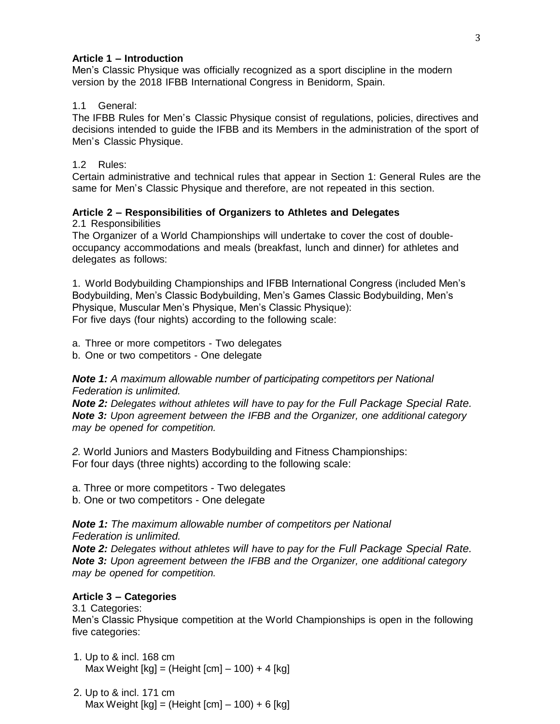## **Article 1 – Introduction**

Men's Classic Physique was officially recognized as a sport discipline in the modern version by the 2018 IFBB International Congress in Benidorm, Spain.

## 1.1 General:

The IFBB Rules for Men's Classic Physique consist of regulations, policies, directives and decisions intended to guide the IFBB and its Members in the administration of the sport of Men's Classic Physique.

## 1.2 Rules:

Certain administrative and technical rules that appear in Section 1: General Rules are the same for Men's Classic Physique and therefore, are not repeated in this section.

## **Article 2 – Responsibilities of Organizers to Athletes and Delegates**

2.1 Responsibilities

The Organizer of a World Championships will undertake to cover the cost of doubleoccupancy accommodations and meals (breakfast, lunch and dinner) for athletes and delegates as follows:

1. World Bodybuilding Championships and IFBB International Congress (included Men's Bodybuilding, Men's Classic Bodybuilding, Men's Games Classic Bodybuilding, Men's Physique, Muscular Men's Physique, Men's Classic Physique): For five days (four nights) according to the following scale:

a. Three or more competitors - Two delegates

b. One or two competitors - One delegate

*Note 1: A maximum allowable number of participating competitors per National Federation is unlimited.*

*Note 2: Delegates without athletes will have to pay for the Full Package Special Rate. Note 3: Upon agreement between the IFBB and the Organizer, one additional category may be opened for competition.*

*2.* World Juniors and Masters Bodybuilding and Fitness Championships: For four days (three nights) according to the following scale:

a. Three or more competitors - Two delegates

b. One or two competitors - One delegate

*Note 1: The maximum allowable number of competitors per National Federation is unlimited.*

*Note 2: Delegates without athletes will have to pay for the Full Package Special Rate. Note 3: Upon agreement between the IFBB and the Organizer, one additional category may be opened for competition.*

## **Article 3 – Categories**

3.1 Categories:

Men's Classic Physique competition at the World Championships is open in the following five categories:

- 1. Up to & incl. 168 cm Max Weight  $[kg] = (Height [cm] - 100) + 4 [kg]$
- 2. Up to & incl. 171 cm Max Weight  $[kg] = (Height [cm] - 100) + 6 [kg]$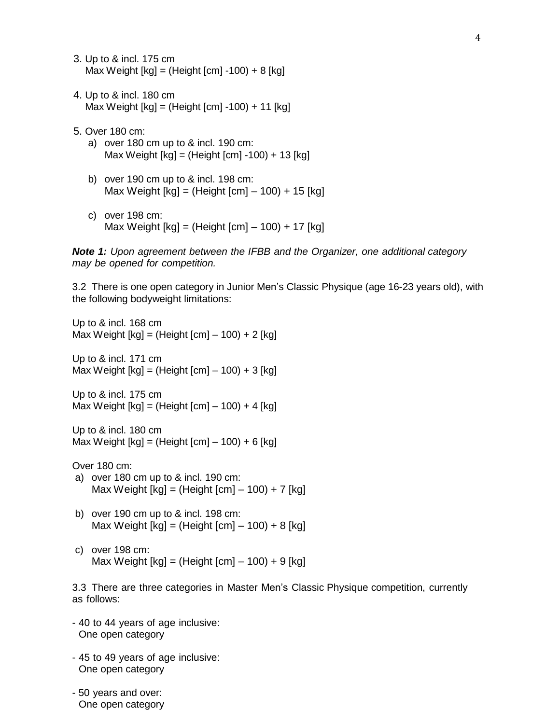- 3. Up to & incl. 175 cm Max Weight  $[kg] = (Height [cm] -100) + 8 [kg]$
- 4. Up to & incl. 180 cm Max Weight [kg] = (Height [cm] -100) + 11 [kg]
- 5. Over 180 cm:
	- a) over 180 cm up to & incl. 190 cm: Max Weight [kg] = (Height [cm] -100) + 13 [kg]
	- b) over 190 cm up to & incl. 198 cm: Max Weight [kg] = (Height [cm] – 100) + 15 [kg]
	- c) over 198 cm: Max Weight [kg] = (Height [cm] – 100) + 17 [kg]

*Note 1: Upon agreement between the IFBB and the Organizer, one additional category may be opened for competition.*

3.2 There is one open category in Junior Men's Classic Physique (age 16-23 years old), with the following bodyweight limitations:

Up to & incl. 168 cm Max Weight  $[kg] = (Height [cm] - 100) + 2 [kg]$ Up to & incl. 171 cm Max Weight  $[kg] = (Height [cm] - 100) + 3 [kg]$ Up to & incl. 175 cm Max Weight  $[kg] = (Height [cm] - 100) + 4 [kg]$ Up to & incl. 180 cm Max Weight [kg] = (Height [cm] – 100) + 6 [kg] Over 180 cm: a) over 180 cm up to & incl. 190 cm: Max Weight  $[kg] = (Height [cm] - 100) + 7 [kg]$ b) over 190 cm up to & incl. 198 cm: Max Weight  $[kg] = (Height [cm] - 100) + 8 [kg]$ c) over 198 cm: Max Weight  $[kg] = (Height [cm] - 100) + 9 [kg]$ 3.3 There are three categories in Master Men's Classic Physique competition, currently as follows: - 40 to 44 years of age inclusive: One open category - 45 to 49 years of age inclusive: One open category

- 50 years and over: One open category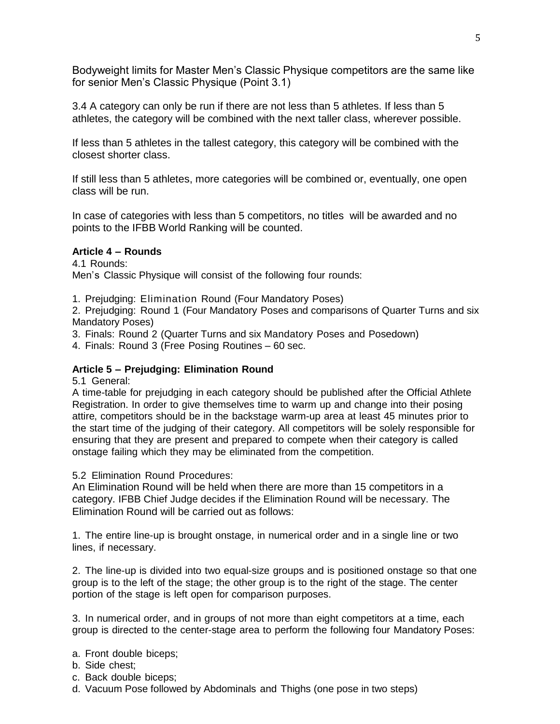Bodyweight limits for Master Men's Classic Physique competitors are the same like for senior Men's Classic Physique (Point 3.1)

3.4 A category can only be run if there are not less than 5 athletes. If less than 5 athletes, the category will be combined with the next taller class, wherever possible.

If less than 5 athletes in the tallest category, this category will be combined with the closest shorter class.

If still less than 5 athletes, more categories will be combined or, eventually, one open class will be run.

In case of categories with less than 5 competitors, no titles will be awarded and no points to the IFBB World Ranking will be counted.

#### **Article 4 – Rounds**

4.1 Rounds: Men's Classic Physique will consist of the following four rounds:

1. Prejudging: Elimination Round (Four Mandatory Poses)

2. Prejudging: Round 1 (Four Mandatory Poses and comparisons of Quarter Turns and six Mandatory Poses)

3. Finals: Round 2 (Quarter Turns and six Mandatory Poses and Posedown)

4. Finals: Round 3 (Free Posing Routines – 60 sec.

## **Article 5 – Prejudging: Elimination Round**

5.1 General:

A time-table for prejudging in each category should be published after the Official Athlete Registration. In order to give themselves time to warm up and change into their posing attire, competitors should be in the backstage warm-up area at least 45 minutes prior to the start time of the judging of their category. All competitors will be solely responsible for ensuring that they are present and prepared to compete when their category is called onstage failing which they may be eliminated from the competition.

5.2 Elimination Round Procedures:

An Elimination Round will be held when there are more than 15 competitors in a category. IFBB Chief Judge decides if the Elimination Round will be necessary. The Elimination Round will be carried out as follows:

1. The entire line-up is brought onstage, in numerical order and in a single line or two lines, if necessary.

2. The line-up is divided into two equal-size groups and is positioned onstage so that one group is to the left of the stage; the other group is to the right of the stage. The center portion of the stage is left open for comparison purposes.

3. In numerical order, and in groups of not more than eight competitors at a time, each group is directed to the center-stage area to perform the following four Mandatory Poses:

a. Front double biceps;

- b. Side chest;
- c. Back double biceps;
- d. Vacuum Pose followed by Abdominals and Thighs (one pose in two steps)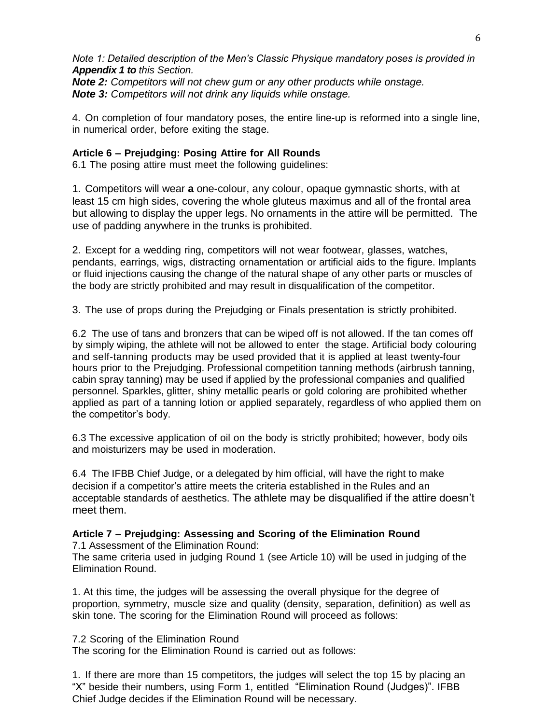*Note 1: Detailed description of the Men's Classic Physique mandatory poses is provided in Appendix 1 to this Section.*

*Note 2: Competitors will not chew gum or any other products while onstage. Note 3: Competitors will not drink any liquids while onstage.*

4. On completion of four mandatory poses, the entire line-up is reformed into a single line, in numerical order, before exiting the stage.

#### **Article 6 – Prejudging: Posing Attire for All Rounds**

6.1 The posing attire must meet the following guidelines:

1. Competitors will wear **a** one-colour, any colour, opaque gymnastic shorts, with at least 15 cm high sides, covering the whole gluteus maximus and all of the frontal area but allowing to display the upper legs. No ornaments in the attire will be permitted. The use of padding anywhere in the trunks is prohibited.

2. Except for a wedding ring, competitors will not wear footwear, glasses, watches, pendants, earrings, wigs, distracting ornamentation or artificial aids to the figure. Implants or fluid injections causing the change of the natural shape of any other parts or muscles of the body are strictly prohibited and may result in disqualification of the competitor.

3. The use of props during the Prejudging or Finals presentation is strictly prohibited.

6.2 The use of tans and bronzers that can be wiped off is not allowed. If the tan comes off by simply wiping, the athlete will not be allowed to enter the stage. Artificial body colouring and self-tanning products may be used provided that it is applied at least twenty-four hours prior to the Prejudging. Professional competition tanning methods (airbrush tanning, cabin spray tanning) may be used if applied by the professional companies and qualified personnel. Sparkles, glitter, shiny metallic pearls or gold coloring are prohibited whether applied as part of a tanning lotion or applied separately, regardless of who applied them on the competitor's body.

6.3 The excessive application of oil on the body is strictly prohibited; however, body oils and moisturizers may be used in moderation.

6.4 The IFBB Chief Judge, or a delegated by him official, will have the right to make decision if a competitor's attire meets the criteria established in the Rules and an acceptable standards of aesthetics. The athlete may be disqualified if the attire doesn't meet them.

#### **Article 7 – Prejudging: Assessing and Scoring of the Elimination Round**

7.1 Assessment of the Elimination Round:

The same criteria used in judging Round 1 (see Article 10) will be used in judging of the Elimination Round.

1. At this time, the judges will be assessing the overall physique for the degree of proportion, symmetry, muscle size and quality (density, separation, definition) as well as skin tone. The scoring for the Elimination Round will proceed as follows:

7.2 Scoring of the Elimination Round

The scoring for the Elimination Round is carried out as follows:

1. If there are more than 15 competitors, the judges will select the top 15 by placing an "X" beside their numbers, using Form 1, entitled "Elimination Round (Judges)". IFBB Chief Judge decides if the Elimination Round will be necessary.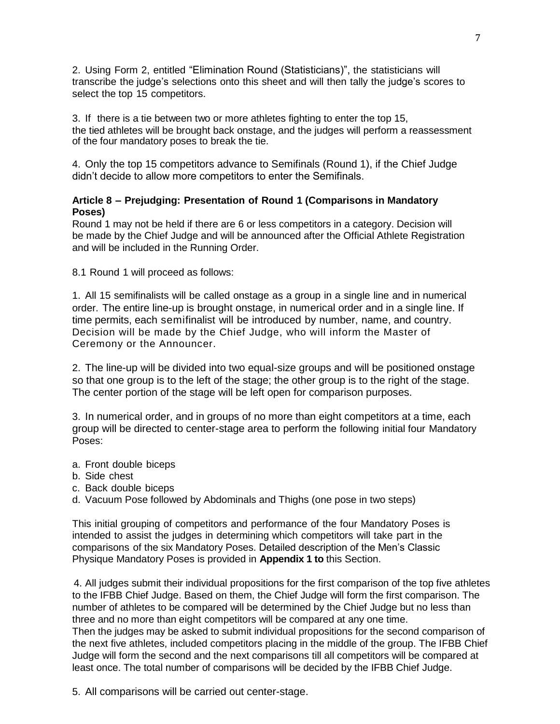2. Using Form 2, entitled "Elimination Round (Statisticians)", the statisticians will transcribe the judge's selections onto this sheet and will then tally the judge's scores to select the top 15 competitors.

3. If there is a tie between two or more athletes fighting to enter the top 15, the tied athletes will be brought back onstage, and the judges will perform a reassessment of the four mandatory poses to break the tie.

4. Only the top 15 competitors advance to Semifinals (Round 1), if the Chief Judge didn't decide to allow more competitors to enter the Semifinals.

## **Article 8 – Prejudging: Presentation of Round 1 (Comparisons in Mandatory Poses)**

Round 1 may not be held if there are 6 or less competitors in a category. Decision will be made by the Chief Judge and will be announced after the Official Athlete Registration and will be included in the Running Order.

8.1 Round 1 will proceed as follows:

1. All 15 semifinalists will be called onstage as a group in a single line and in numerical order. The entire line-up is brought onstage, in numerical order and in a single line. If time permits, each semifinalist will be introduced by number, name, and country. Decision will be made by the Chief Judge, who will inform the Master of Ceremony or the Announcer.

2. The line-up will be divided into two equal-size groups and will be positioned onstage so that one group is to the left of the stage; the other group is to the right of the stage. The center portion of the stage will be left open for comparison purposes.

3. In numerical order, and in groups of no more than eight competitors at a time, each group will be directed to center-stage area to perform the following initial four Mandatory Poses:

- a. Front double biceps
- b. Side chest
- c. Back double biceps
- d. Vacuum Pose followed by Abdominals and Thighs (one pose in two steps)

This initial grouping of competitors and performance of the four Mandatory Poses is intended to assist the judges in determining which competitors will take part in the comparisons of the six Mandatory Poses. Detailed description of the Men's Classic Physique Mandatory Poses is provided in **Appendix 1 to** this Section.

4. All judges submit their individual propositions for the first comparison of the top five athletes to the IFBB Chief Judge. Based on them, the Chief Judge will form the first comparison. The number of athletes to be compared will be determined by the Chief Judge but no less than three and no more than eight competitors will be compared at any one time.

Then the judges may be asked to submit individual propositions for the second comparison of the next five athletes, included competitors placing in the middle of the group. The IFBB Chief Judge will form the second and the next comparisons till all competitors will be compared at least once. The total number of comparisons will be decided by the IFBB Chief Judge.

5. All comparisons will be carried out center-stage.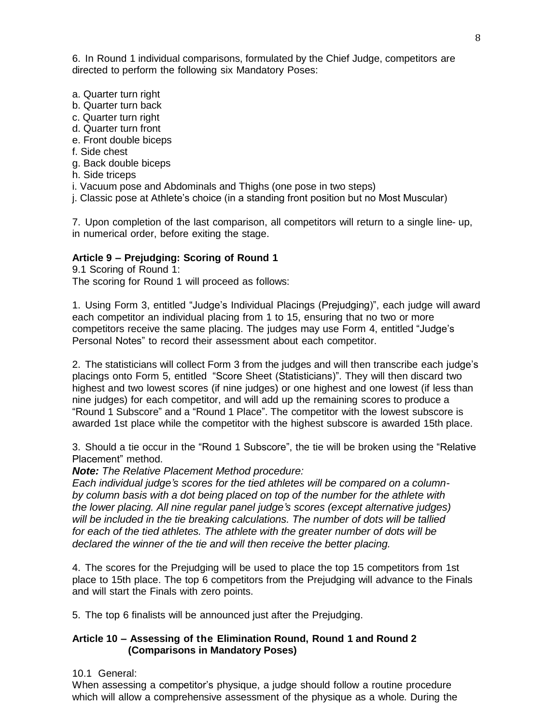6. In Round 1 individual comparisons, formulated by the Chief Judge, competitors are directed to perform the following six Mandatory Poses:

- a. Quarter turn right
- b. Quarter turn back
- c. Quarter turn right
- d. Quarter turn front
- e. Front double biceps
- f. Side chest
- g. Back double biceps
- h. Side triceps
- i. Vacuum pose and Abdominals and Thighs (one pose in two steps)
- j. Classic pose at Athlete's choice (in a standing front position but no Most Muscular)

7. Upon completion of the last comparison, all competitors will return to a single line- up, in numerical order, before exiting the stage.

#### **Article 9 – Prejudging: Scoring of Round 1**

9.1 Scoring of Round 1:

The scoring for Round 1 will proceed as follows:

1. Using Form 3, entitled "Judge's Individual Placings (Prejudging)", each judge will award each competitor an individual placing from 1 to 15, ensuring that no two or more competitors receive the same placing. The judges may use Form 4, entitled "Judge's Personal Notes" to record their assessment about each competitor.

2. The statisticians will collect Form 3 from the judges and will then transcribe each judge's placings onto Form 5, entitled "Score Sheet (Statisticians)". They will then discard two highest and two lowest scores (if nine judges) or one highest and one lowest (if less than nine judges) for each competitor, and will add up the remaining scores to produce a "Round 1 Subscore" and a "Round 1 Place". The competitor with the lowest subscore is awarded 1st place while the competitor with the highest subscore is awarded 15th place.

3. Should a tie occur in the "Round 1 Subscore", the tie will be broken using the "Relative Placement" method.

*Note: The Relative Placement Method procedure:*

*Each individual judge's scores for the tied athletes will be compared on a columnby column basis with a dot being placed on top of the number for the athlete with the lower placing. All nine regular panel judge's scores (except alternative judges) will be included in the tie breaking calculations. The number of dots will be tallied for each of the tied athletes. The athlete with the greater number of dots will be declared the winner of the tie and will then receive the better placing.*

4. The scores for the Prejudging will be used to place the top 15 competitors from 1st place to 15th place. The top 6 competitors from the Prejudging will advance to the Finals and will start the Finals with zero points.

5. The top 6 finalists will be announced just after the Prejudging.

#### **Article 10 – Assessing of the Elimination Round, Round 1 and Round 2 (Comparisons in Mandatory Poses)**

10.1 General:

When assessing a competitor's physique, a judge should follow a routine procedure which will allow a comprehensive assessment of the physique as a whole. During the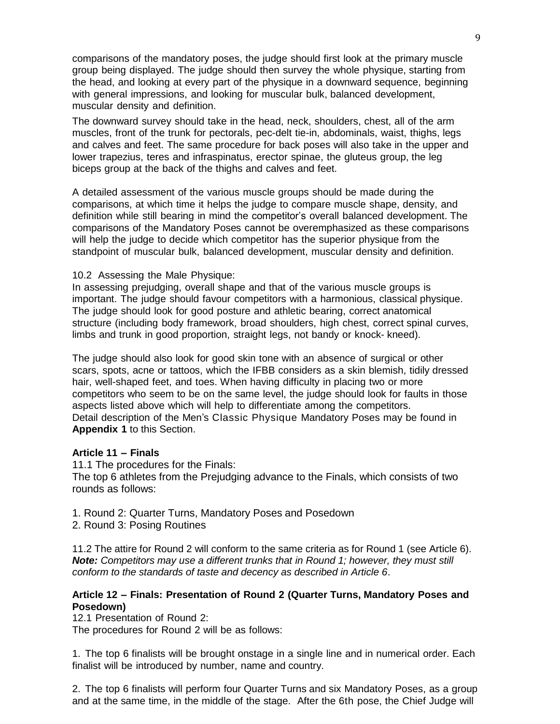comparisons of the mandatory poses, the judge should first look at the primary muscle group being displayed. The judge should then survey the whole physique, starting from the head, and looking at every part of the physique in a downward sequence, beginning with general impressions, and looking for muscular bulk, balanced development, muscular density and definition.

The downward survey should take in the head, neck, shoulders, chest, all of the arm muscles, front of the trunk for pectorals, pec-delt tie-in, abdominals, waist, thighs, legs and calves and feet. The same procedure for back poses will also take in the upper and lower trapezius, teres and infraspinatus, erector spinae, the gluteus group, the leg biceps group at the back of the thighs and calves and feet.

A detailed assessment of the various muscle groups should be made during the comparisons, at which time it helps the judge to compare muscle shape, density, and definition while still bearing in mind the competitor's overall balanced development. The comparisons of the Mandatory Poses cannot be overemphasized as these comparisons will help the judge to decide which competitor has the superior physique from the standpoint of muscular bulk, balanced development, muscular density and definition.

#### 10.2 Assessing the Male Physique:

In assessing prejudging, overall shape and that of the various muscle groups is important. The judge should favour competitors with a harmonious, classical physique. The judge should look for good posture and athletic bearing, correct anatomical structure (including body framework, broad shoulders, high chest, correct spinal curves, limbs and trunk in good proportion, straight legs, not bandy or knock- kneed).

The judge should also look for good skin tone with an absence of surgical or other scars, spots, acne or tattoos, which the IFBB considers as a skin blemish, tidily dressed hair, well-shaped feet, and toes. When having difficulty in placing two or more competitors who seem to be on the same level, the judge should look for faults in those aspects listed above which will help to differentiate among the competitors. Detail description of the Men's Classic Physique Mandatory Poses may be found in **Appendix 1** to this Section.

#### **Article 11 – Finals**

11.1 The procedures for the Finals: The top 6 athletes from the Prejudging advance to the Finals, which consists of two rounds as follows:

- 1. Round 2: Quarter Turns, Mandatory Poses and Posedown
- 2. Round 3: Posing Routines

11.2 The attire for Round 2 will conform to the same criteria as for Round 1 (see Article 6). *Note: Competitors may use a different trunks that in Round 1; however, they must still conform to the standards of taste and decency as described in Article 6*.

#### **Article 12 – Finals: Presentation of Round 2 (Quarter Turns, Mandatory Poses and Posedown)**

12.1 Presentation of Round 2:

The procedures for Round 2 will be as follows:

1. The top 6 finalists will be brought onstage in a single line and in numerical order. Each finalist will be introduced by number, name and country.

2. The top 6 finalists will perform four Quarter Turns and six Mandatory Poses, as a group and at the same time, in the middle of the stage. After the 6th pose, the Chief Judge will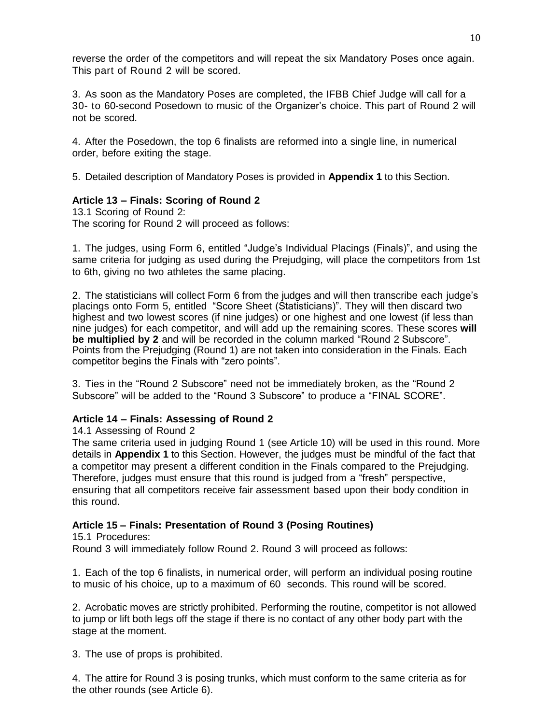reverse the order of the competitors and will repeat the six Mandatory Poses once again. This part of Round 2 will be scored.

3. As soon as the Mandatory Poses are completed, the IFBB Chief Judge will call for a 30- to 60-second Posedown to music of the Organizer's choice. This part of Round 2 will not be scored.

4. After the Posedown, the top 6 finalists are reformed into a single line, in numerical order, before exiting the stage.

5. Detailed description of Mandatory Poses is provided in **Appendix 1** to this Section.

#### **Article 13 – Finals: Scoring of Round 2**

13.1 Scoring of Round 2: The scoring for Round 2 will proceed as follows:

1. The judges, using Form 6, entitled "Judge's Individual Placings (Finals)", and using the same criteria for judging as used during the Prejudging, will place the competitors from 1st to 6th, giving no two athletes the same placing.

2. The statisticians will collect Form 6 from the judges and will then transcribe each judge's placings onto Form 5, entitled "Score Sheet (Statisticians)". They will then discard two highest and two lowest scores (if nine judges) or one highest and one lowest (if less than nine judges) for each competitor, and will add up the remaining scores. These scores **will be multiplied by 2** and will be recorded in the column marked "Round 2 Subscore". Points from the Prejudging (Round 1) are not taken into consideration in the Finals. Each competitor begins the Finals with "zero points".

3. Ties in the "Round 2 Subscore" need not be immediately broken, as the "Round 2 Subscore" will be added to the "Round 3 Subscore" to produce a "FINAL SCORE".

#### **Article 14 – Finals: Assessing of Round 2**

14.1 Assessing of Round 2

The same criteria used in judging Round 1 (see Article 10) will be used in this round. More details in **Appendix 1** to this Section. However, the judges must be mindful of the fact that a competitor may present a different condition in the Finals compared to the Prejudging. Therefore, judges must ensure that this round is judged from a "fresh" perspective, ensuring that all competitors receive fair assessment based upon their body condition in this round.

#### **Article 15 – Finals: Presentation of Round 3 (Posing Routines)**

15.1 Procedures:

Round 3 will immediately follow Round 2. Round 3 will proceed as follows:

1. Each of the top 6 finalists, in numerical order, will perform an individual posing routine to music of his choice, up to a maximum of 60 seconds. This round will be scored.

2. Acrobatic moves are strictly prohibited. Performing the routine, competitor is not allowed to jump or lift both legs off the stage if there is no contact of any other body part with the stage at the moment.

3. The use of props is prohibited.

4. The attire for Round 3 is posing trunks, which must conform to the same criteria as for the other rounds (see Article 6).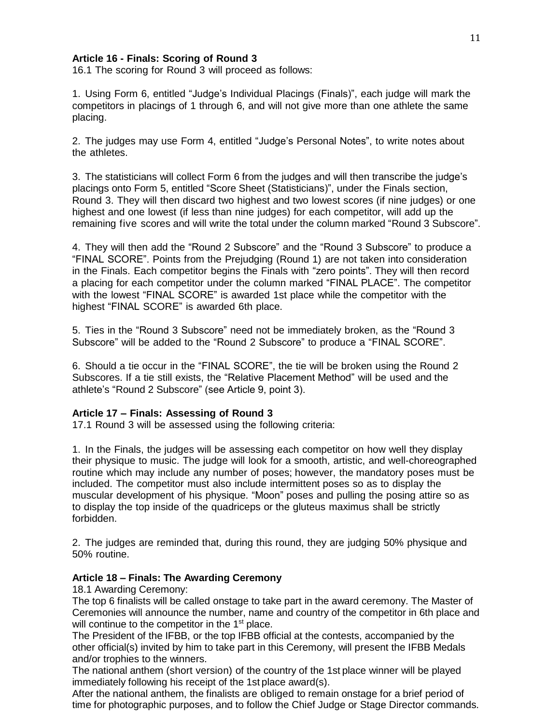#### **Article 16 - Finals: Scoring of Round 3**

16.1 The scoring for Round 3 will proceed as follows:

1. Using Form 6, entitled "Judge's Individual Placings (Finals)", each judge will mark the competitors in placings of 1 through 6, and will not give more than one athlete the same placing.

2. The judges may use Form 4, entitled "Judge's Personal Notes", to write notes about the athletes.

3. The statisticians will collect Form 6 from the judges and will then transcribe the judge's placings onto Form 5, entitled "Score Sheet (Statisticians)", under the Finals section, Round 3. They will then discard two highest and two lowest scores (if nine judges) or one highest and one lowest (if less than nine judges) for each competitor, will add up the remaining five scores and will write the total under the column marked "Round 3 Subscore".

4. They will then add the "Round 2 Subscore" and the "Round 3 Subscore" to produce a "FINAL SCORE". Points from the Prejudging (Round 1) are not taken into consideration in the Finals. Each competitor begins the Finals with "zero points". They will then record a placing for each competitor under the column marked "FINAL PLACE". The competitor with the lowest "FINAL SCORE" is awarded 1st place while the competitor with the highest "FINAL SCORE" is awarded 6th place.

5. Ties in the "Round 3 Subscore" need not be immediately broken, as the "Round 3 Subscore" will be added to the "Round 2 Subscore" to produce a "FINAL SCORE".

6. Should a tie occur in the "FINAL SCORE", the tie will be broken using the Round 2 Subscores. If a tie still exists, the "Relative Placement Method" will be used and the athlete's "Round 2 Subscore" (see Article 9, point 3).

#### **Article 17 – Finals: Assessing of Round 3**

17.1 Round 3 will be assessed using the following criteria:

1. In the Finals, the judges will be assessing each competitor on how well they display their physique to music. The judge will look for a smooth, artistic, and well-choreographed routine which may include any number of poses; however, the mandatory poses must be included. The competitor must also include intermittent poses so as to display the muscular development of his physique. "Moon" poses and pulling the posing attire so as to display the top inside of the quadriceps or the gluteus maximus shall be strictly forbidden.

2. The judges are reminded that, during this round, they are judging 50% physique and 50% routine.

#### **Article 18 – Finals: The Awarding Ceremony**

18.1 Awarding Ceremony:

The top 6 finalists will be called onstage to take part in the award ceremony. The Master of Ceremonies will announce the number, name and country of the competitor in 6th place and will continue to the competitor in the 1<sup>st</sup> place.

The President of the IFBB, or the top IFBB official at the contests, accompanied by the other official(s) invited by him to take part in this Ceremony, will present the IFBB Medals and/or trophies to the winners.

The national anthem (short version) of the country of the 1st place winner will be played immediately following his receipt of the 1st place award(s).

After the national anthem, the finalists are obliged to remain onstage for a brief period of time for photographic purposes, and to follow the Chief Judge or Stage Director commands.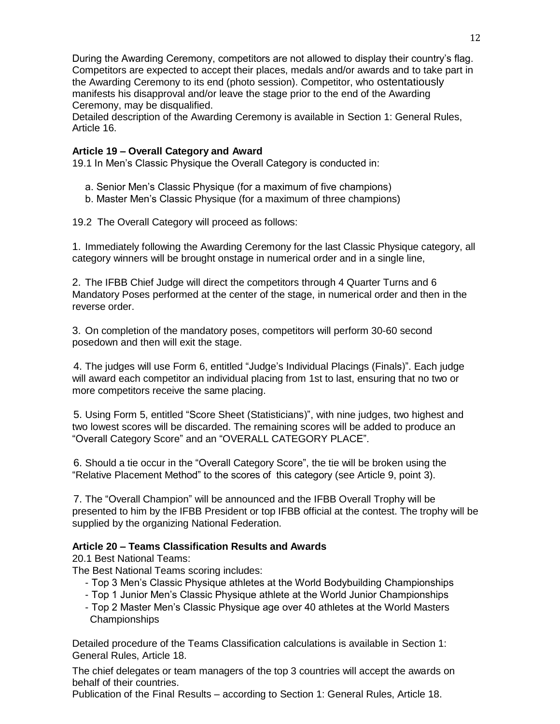During the Awarding Ceremony, competitors are not allowed to display their country's flag. Competitors are expected to accept their places, medals and/or awards and to take part in the Awarding Ceremony to its end (photo session). Competitor, who ostentatiously manifests his disapproval and/or leave the stage prior to the end of the Awarding Ceremony, may be disqualified.

Detailed description of the Awarding Ceremony is available in Section 1: General Rules, Article 16.

## **Article 19 – Overall Category and Award**

19.1 In Men's Classic Physique the Overall Category is conducted in:

- a. Senior Men's Classic Physique (for a maximum of five champions)
- b. Master Men's Classic Physique (for a maximum of three champions)

19.2 The Overall Category will proceed as follows:

1. Immediately following the Awarding Ceremony for the last Classic Physique category, all category winners will be brought onstage in numerical order and in a single line,

2. The IFBB Chief Judge will direct the competitors through 4 Quarter Turns and 6 Mandatory Poses performed at the center of the stage, in numerical order and then in the reverse order.

3. On completion of the mandatory poses, competitors will perform 30-60 second posedown and then will exit the stage.

4. The judges will use Form 6, entitled "Judge's Individual Placings (Finals)". Each judge will award each competitor an individual placing from 1st to last, ensuring that no two or more competitors receive the same placing.

5. Using Form 5, entitled "Score Sheet (Statisticians)", with nine judges, two highest and two lowest scores will be discarded. The remaining scores will be added to produce an "Overall Category Score" and an "OVERALL CATEGORY PLACE".

6. Should a tie occur in the "Overall Category Score", the tie will be broken using the "Relative Placement Method" to the scores of this category (see Article 9, point 3).

7. The "Overall Champion" will be announced and the IFBB Overall Trophy will be presented to him by the IFBB President or top IFBB official at the contest. The trophy will be supplied by the organizing National Federation.

## **Article 20 – Teams Classification Results and Awards**

20.1 Best National Teams:

The Best National Teams scoring includes:

- Top 3 Men's Classic Physique athletes at the World Bodybuilding Championships
- Top 1 Junior Men's Classic Physique athlete at the World Junior Championships
- Top 2 Master Men's Classic Physique age over 40 athletes at the World Masters Championships

Detailed procedure of the Teams Classification calculations is available in Section 1: General Rules, Article 18.

The chief delegates or team managers of the top 3 countries will accept the awards on behalf of their countries.

Publication of the Final Results – according to Section 1: General Rules, Article 18.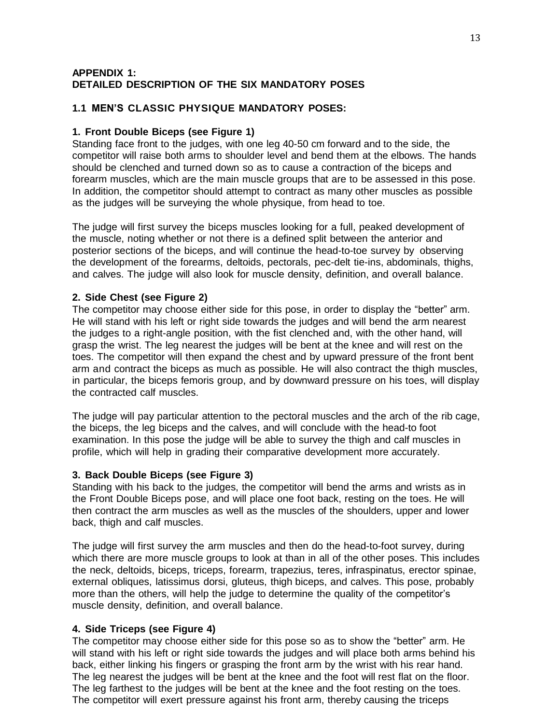#### **APPENDIX 1: DETAILED DESCRIPTION OF THE SIX MANDATORY POSES**

#### **1.1 MEN'S CLASSIC PHYSIQUE MANDATORY POSES:**

#### **1. Front Double Biceps (see Figure 1)**

Standing face front to the judges, with one leg 40-50 cm forward and to the side, the competitor will raise both arms to shoulder level and bend them at the elbows. The hands should be clenched and turned down so as to cause a contraction of the biceps and forearm muscles, which are the main muscle groups that are to be assessed in this pose. In addition, the competitor should attempt to contract as many other muscles as possible as the judges will be surveying the whole physique, from head to toe.

The judge will first survey the biceps muscles looking for a full, peaked development of the muscle, noting whether or not there is a defined split between the anterior and posterior sections of the biceps, and will continue the head-to-toe survey by observing the development of the forearms, deltoids, pectorals, pec-delt tie-ins, abdominals, thighs, and calves. The judge will also look for muscle density, definition, and overall balance.

#### **2. Side Chest (see Figure 2)**

The competitor may choose either side for this pose, in order to display the "better" arm. He will stand with his left or right side towards the judges and will bend the arm nearest the judges to a right-angle position, with the fist clenched and, with the other hand, will grasp the wrist. The leg nearest the judges will be bent at the knee and will rest on the toes. The competitor will then expand the chest and by upward pressure of the front bent arm and contract the biceps as much as possible. He will also contract the thigh muscles, in particular, the biceps femoris group, and by downward pressure on his toes, will display the contracted calf muscles.

The judge will pay particular attention to the pectoral muscles and the arch of the rib cage, the biceps, the leg biceps and the calves, and will conclude with the head-to foot examination. In this pose the judge will be able to survey the thigh and calf muscles in profile, which will help in grading their comparative development more accurately.

#### **3. Back Double Biceps (see Figure 3)**

Standing with his back to the judges, the competitor will bend the arms and wrists as in the Front Double Biceps pose, and will place one foot back, resting on the toes. He will then contract the arm muscles as well as the muscles of the shoulders, upper and lower back, thigh and calf muscles.

The judge will first survey the arm muscles and then do the head-to-foot survey, during which there are more muscle groups to look at than in all of the other poses. This includes the neck, deltoids, biceps, triceps, forearm, trapezius, teres, infraspinatus, erector spinae, external obliques, latissimus dorsi, gluteus, thigh biceps, and calves. This pose, probably more than the others, will help the judge to determine the quality of the competitor's muscle density, definition, and overall balance.

#### **4. Side Triceps (see Figure 4)**

The competitor may choose either side for this pose so as to show the "better" arm. He will stand with his left or right side towards the judges and will place both arms behind his back, either linking his fingers or grasping the front arm by the wrist with his rear hand. The leg nearest the judges will be bent at the knee and the foot will rest flat on the floor. The leg farthest to the judges will be bent at the knee and the foot resting on the toes. The competitor will exert pressure against his front arm, thereby causing the triceps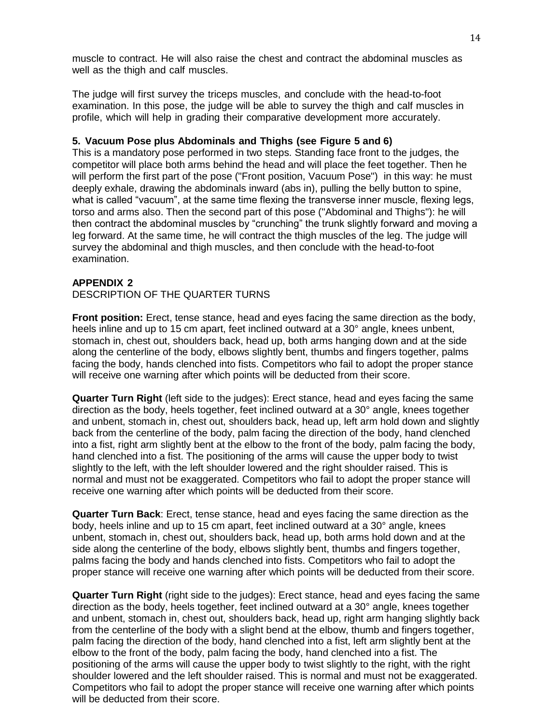muscle to contract. He will also raise the chest and contract the abdominal muscles as well as the thigh and calf muscles.

The judge will first survey the triceps muscles, and conclude with the head-to-foot examination. In this pose, the judge will be able to survey the thigh and calf muscles in profile, which will help in grading their comparative development more accurately.

#### **5. Vacuum Pose plus Abdominals and Thighs (see Figure 5 and 6)**

This is a mandatory pose performed in two steps. Standing face front to the judges, the competitor will place both arms behind the head and will place the feet together. Then he will perform the first part of the pose ("Front position, Vacuum Pose") in this way: he must deeply exhale, drawing the abdominals inward (abs in), pulling the belly button to spine, what is called "vacuum", at the same time flexing the transverse inner muscle, flexing legs, torso and arms also. Then the second part of this pose ("Abdominal and Thighs"): he will then contract the abdominal muscles by "crunching" the trunk slightly forward and moving a leg forward. At the same time, he will contract the thigh muscles of the leg. The judge will survey the abdominal and thigh muscles, and then conclude with the head-to-foot examination.

#### **APPENDIX 2**

#### DESCRIPTION OF THE QUARTER TURNS

**Front position:** Erect, tense stance, head and eyes facing the same direction as the body, heels inline and up to 15 cm apart, feet inclined outward at a 30° angle, knees unbent, stomach in, chest out, shoulders back, head up, both arms hanging down and at the side along the centerline of the body, elbows slightly bent, thumbs and fingers together, palms facing the body, hands clenched into fists. Competitors who fail to adopt the proper stance will receive one warning after which points will be deducted from their score.

**Quarter Turn Right** (left side to the judges): Erect stance, head and eyes facing the same direction as the body, heels together, feet inclined outward at a 30° angle, knees together and unbent, stomach in, chest out, shoulders back, head up, left arm hold down and slightly back from the centerline of the body, palm facing the direction of the body, hand clenched into a fist, right arm slightly bent at the elbow to the front of the body, palm facing the body, hand clenched into a fist. The positioning of the arms will cause the upper body to twist slightly to the left, with the left shoulder lowered and the right shoulder raised. This is normal and must not be exaggerated. Competitors who fail to adopt the proper stance will receive one warning after which points will be deducted from their score.

**Quarter Turn Back**: Erect, tense stance, head and eyes facing the same direction as the body, heels inline and up to 15 cm apart, feet inclined outward at a 30° angle, knees unbent, stomach in, chest out, shoulders back, head up, both arms hold down and at the side along the centerline of the body, elbows slightly bent, thumbs and fingers together, palms facing the body and hands clenched into fists. Competitors who fail to adopt the proper stance will receive one warning after which points will be deducted from their score.

**Quarter Turn Right** (right side to the judges): Erect stance, head and eyes facing the same direction as the body, heels together, feet inclined outward at a 30° angle, knees together and unbent, stomach in, chest out, shoulders back, head up, right arm hanging slightly back from the centerline of the body with a slight bend at the elbow, thumb and fingers together, palm facing the direction of the body, hand clenched into a fist, left arm slightly bent at the elbow to the front of the body, palm facing the body, hand clenched into a fist. The positioning of the arms will cause the upper body to twist slightly to the right, with the right shoulder lowered and the left shoulder raised. This is normal and must not be exaggerated. Competitors who fail to adopt the proper stance will receive one warning after which points will be deducted from their score.